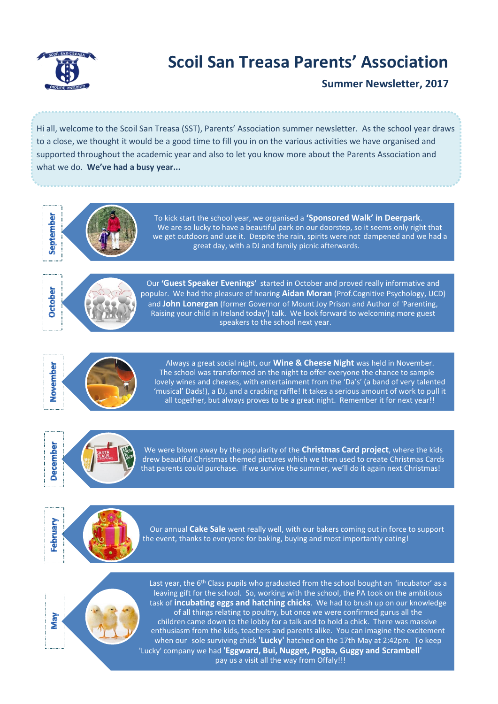

# **Scoil San Treasa Parents' Association**

**Summer Newsletter, 2017**

. Hi all, welcome to the Scoil San Treasa (SST), Parents' Association summer newsletter. As the school year draws to a close, we thought it would be a good time to fill you in on the various activities we have organised and supported throughout the academic year and also to let you know more about the Parents Association and what we do. **We've had a busy year...**



To kick start the school year, we organised a **'Sponsored Walk' in Deerpark**. We are so lucky to have a beautiful park on our doorstep, so it seems only right that we get outdoors and use it. Despite the rain, spirits were not dampened and we had a great day, with a DJ and family picnic afterwards.



Our **'Guest Speaker Evenings'** started in October and proved really informative and popular. We had the pleasure of hearing **Aidan Moran** (Prof.Cognitive Psychology, UCD) and **John Lonergan** (former Governor of Mount Joy Prison and Author of 'Parenting, Raising your child in Ireland today') talk. We look forward to welcoming more guest speakers to the school next year.



Always a great social night, our **Wine & Cheese Night** was held in November. The school was transformed on the night to offer everyone the chance to sample lovely wines and cheeses, with entertainment from the 'Da's' (a band of very talented 'musical' Dads!), a DJ, and a cracking raffle! It takes a serious amount of work to pull it all together, but always proves to be a great night. Remember it for next year!!



We were blown away by the popularity of the **Christmas Card project**, where the kids drew beautiful Christmas themed pictures which we then used to create Christmas Cards that parents could purchase. If we survive the summer, we'll do it again next Christmas!



Our annual **Cake Sale** went really well, with our bakers coming out in force to support the event, thanks to everyone for baking, buying and most importantly eating!



Last year, the  $6<sup>th</sup>$  Class pupils who graduated from the school bought an 'incubator' as a leaving gift for the school. So, working with the school, the PA took on the ambitious task of **incubating eggs and hatching chicks**. We had to brush up on our knowledge of all things relating to poultry, but once we were confirmed gurus all the children came down to the lobby for a talk and to hold a chick. There was massive enthusiasm from the kids, teachers and parents alike. You can imagine the excitement when our sole surviving chick **'Lucky'** hatched on the 17th May at 2:42pm. To keep 'Lucky' company we had **'Eggward, Bui, Nugget, Pogba, Guggy and Scrambell'**  pay us a visit all the way from Offaly!!!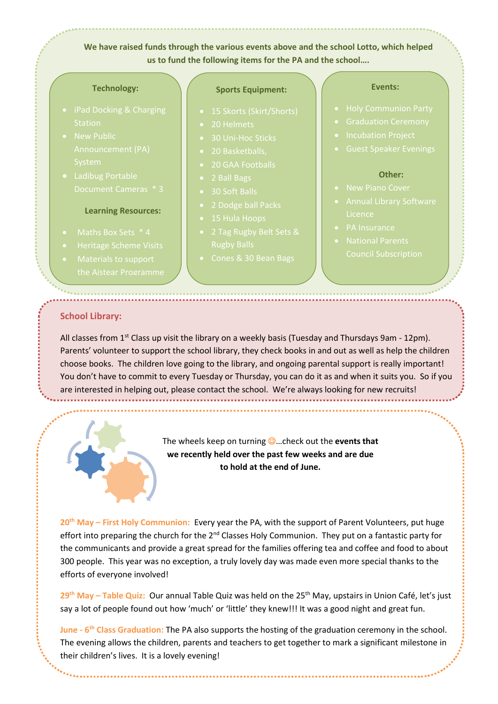**We have raised funds through the various events above and the school Lotto, which helped us to fund the following items for the PA and the school….**

#### **Technology:**

- 
- 
- 

#### **Learning Resources:**

- 
- 
- 

#### **Sports Equipment:**

- 
- 
- 
- 
- 
- 
- 
- 
- 
- 2 Tag Rugby Belt Sets &
- 

#### **Events:**

- 
- 
- 
- 

#### **Other:**

- 
- 
- PA Insurance
- 

### **School Library:**

All classes from 1<sup>st</sup> Class up visit the library on a weekly basis (Tuesday and Thursdays 9am - 12pm). Parents' volunteer to support the school library, they check books in and out as well as help the children choose books. The children love going to the library, and ongoing parental support is really important! You don't have to commit to every Tuesday or Thursday, you can do it as and when it suits you. So if you are interested in helping out, please contact the school. We're always looking for new recruits!



The wheels keep on turning …check out the **events that we recently held over the past few weeks and are due to hold at the end of June.** 

**20th May – First Holy Communion:** Every year the PA, with the support of Parent Volunteers, put huge effort into preparing the church for the 2<sup>nd</sup> Classes Holy Communion. They put on a fantastic party for the communicants and provide a great spread for the families offering tea and coffee and food to about 300 people. This year was no exception, a truly lovely day was made even more special thanks to the efforts of everyone involved!

**29th May – Table Quiz:** Our annual Table Quiz was held on the 25th May, upstairs in Union Café, let's just say a lot of people found out how 'much' or 'little' they knew!!! It was a good night and great fun.

**June - 6 th Class Graduation:** The PA also supports the hosting of the graduation ceremony in the school. The evening allows the children, parents and teachers to get together to mark a significant milestone in their children's lives. It is a lovely evening!